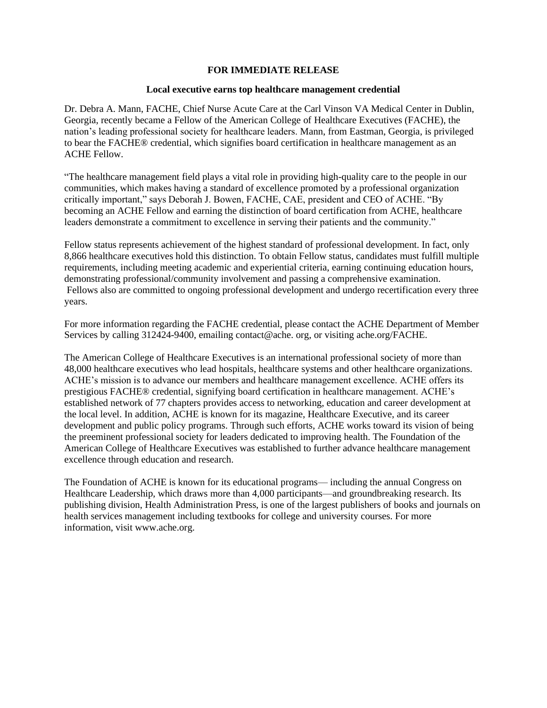## **FOR IMMEDIATE RELEASE**

## **Local executive earns top healthcare management credential**

Dr. Debra A. Mann, FACHE, Chief Nurse Acute Care at the Carl Vinson VA Medical Center in Dublin, Georgia, recently became a Fellow of the American College of Healthcare Executives (FACHE), the nation's leading professional society for healthcare leaders. Mann, from Eastman, Georgia, is privileged to bear the FACHE® credential, which signifies board certification in healthcare management as an ACHE Fellow.

"The healthcare management field plays a vital role in providing high-quality care to the people in our communities, which makes having a standard of excellence promoted by a professional organization critically important," says Deborah J. Bowen, FACHE, CAE, president and CEO of ACHE. "By becoming an ACHE Fellow and earning the distinction of board certification from ACHE, healthcare leaders demonstrate a commitment to excellence in serving their patients and the community."

Fellow status represents achievement of the highest standard of professional development. In fact, only 8,866 healthcare executives hold this distinction. To obtain Fellow status, candidates must fulfill multiple requirements, including meeting academic and experiential criteria, earning continuing education hours, demonstrating professional/community involvement and passing a comprehensive examination. Fellows also are committed to ongoing professional development and undergo recertification every three years.

For more information regarding the FACHE credential, please contact the ACHE Department of Member Services by calling 312424-9400, emailing contact@ache. org, or visiting ache.org/FACHE.

The American College of Healthcare Executives is an international professional society of more than 48,000 healthcare executives who lead hospitals, healthcare systems and other healthcare organizations. ACHE's mission is to advance our members and healthcare management excellence. ACHE offers its prestigious FACHE® credential, signifying board certification in healthcare management. ACHE's established network of 77 chapters provides access to networking, education and career development at the local level. In addition, ACHE is known for its magazine, Healthcare Executive, and its career development and public policy programs. Through such efforts, ACHE works toward its vision of being the preeminent professional society for leaders dedicated to improving health. The Foundation of the American College of Healthcare Executives was established to further advance healthcare management excellence through education and research.

The Foundation of ACHE is known for its educational programs— including the annual Congress on Healthcare Leadership, which draws more than 4,000 participants—and groundbreaking research. Its publishing division, Health Administration Press, is one of the largest publishers of books and journals on health services management including textbooks for college and university courses. For more information, visit [www.ach](http://www.ac/)e.org.